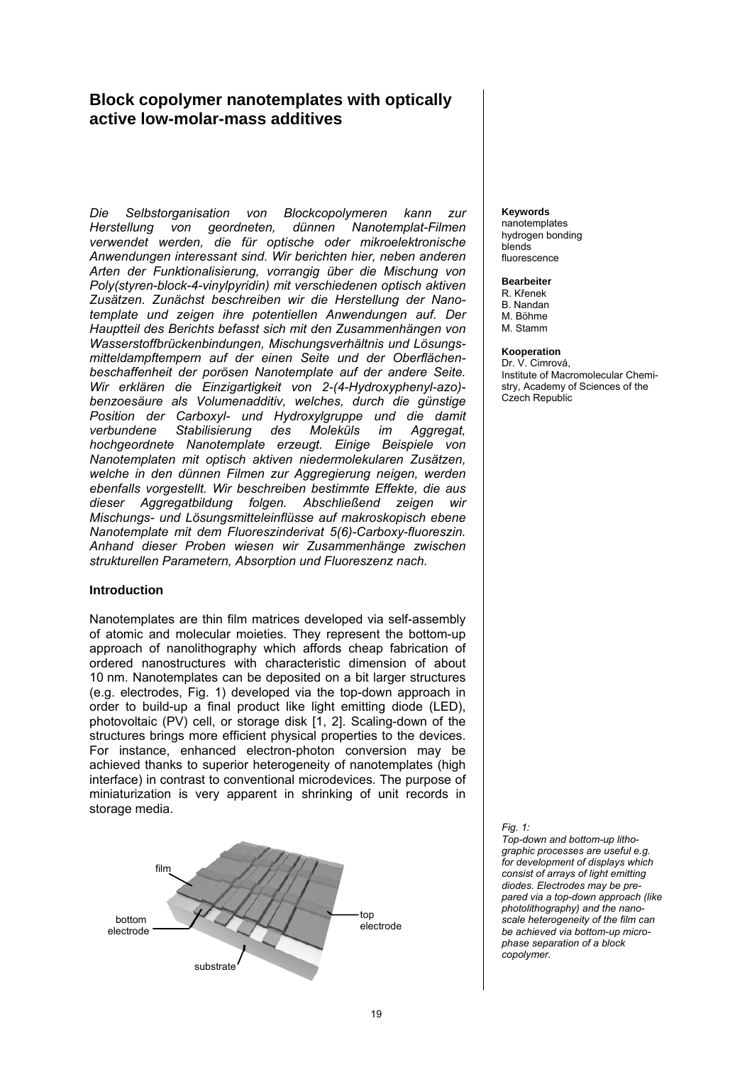# **Block copolymer nanotemplates with optically active low-molar-mass additives**

*Die Selbstorganisation von Blockcopolymeren kann zur Herstellung von geordneten, dünnen Nanotemplat-Filmen verwendet werden, die für optische oder mikroelektronische Anwendungen interessant sind. Wir berichten hier, neben anderen Arten der Funktionalisierung, vorrangig über die Mischung von Poly(styren-block-4-vinylpyridin) mit verschiedenen optisch aktiven Zusätzen. Zunächst beschreiben wir die Herstellung der Nanotemplate und zeigen ihre potentiellen Anwendungen auf. Der Hauptteil des Berichts befasst sich mit den Zusammenhängen von Wasserstoffbrückenbindungen, Mischungsverhältnis und Lösungsmitteldampftempern auf der einen Seite und der Oberflächenbeschaffenheit der porösen Nanotemplate auf der andere Seite. Wir erklären die Einzigartigkeit von 2-(4-Hydroxyphenyl-azo) benzoesäure als Volumenadditiv, welches, durch die günstige Position der Carboxyl- und Hydroxylgruppe und die damit verbundene Stabilisierung des Moleküls im Aggregat, hochgeordnete Nanotemplate erzeugt. Einige Beispiele von Nanotemplaten mit optisch aktiven niedermolekularen Zusätzen, welche in den dünnen Filmen zur Aggregierung neigen, werden ebenfalls vorgestellt. Wir beschreiben bestimmte Effekte, die aus dieser Aggregatbildung folgen. Abschließend zeigen wir Mischungs- und Lösungsmitteleinflüsse auf makroskopisch ebene Nanotemplate mit dem Fluoreszinderivat 5(6)-Carboxy-fluoreszin. Anhand dieser Proben wiesen wir Zusammenhänge zwischen strukturellen Parametern, Absorption und Fluoreszenz nach.* 

## **Introduction**

Nanotemplates are thin film matrices developed via self-assembly of atomic and molecular moieties. They represent the bottom-up approach of nanolithography which affords cheap fabrication of ordered nanostructures with characteristic dimension of about 10 nm. Nanotemplates can be deposited on a bit larger structures (e.g. electrodes, Fig. 1) developed via the top-down approach in order to build-up a final product like light emitting diode (LED), photovoltaic (PV) cell, or storage disk [1, 2]. Scaling-down of the structures brings more efficient physical properties to the devices. For instance, enhanced electron-photon conversion may be achieved thanks to superior heterogeneity of nanotemplates (high interface) in contrast to conventional microdevices. The purpose of miniaturization is very apparent in shrinking of unit records in storage media.



#### **Keywords**

nanotemplates hydrogen bonding blends fluorescence

### **Bearbeiter**

R. Křenek B. Nandan M. Böhme M. Stamm

#### **Kooperation**

Dr. V. Cimrová, Institute of Macromolecular Chemistry, Academy of Sciences of the Czech Republic

*Fig. 1:* 

*Top-down and bottom-up lithographic processes are useful e.g. for development of displays which consist of arrays of light emitting diodes. Electrodes may be prepared via a top-down approach (like photolithography) and the nanoscale heterogeneity of the film can be achieved via bottom-up microphase separation of a block copolymer.*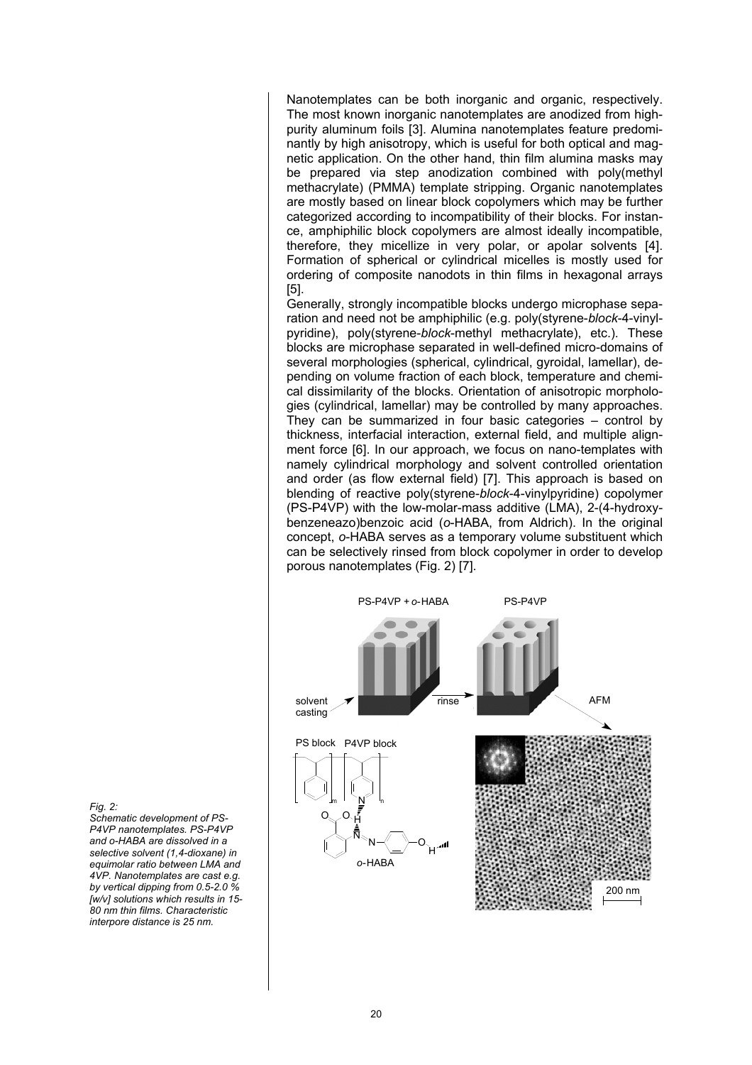Nanotemplates can be both inorganic and organic, respectively. The most known inorganic nanotemplates are anodized from highpurity aluminum foils [3]. Alumina nanotemplates feature predominantly by high anisotropy, which is useful for both optical and magnetic application. On the other hand, thin film alumina masks may be prepared via step anodization combined with poly(methyl methacrylate) (PMMA) template stripping. Organic nanotemplates are mostly based on linear block copolymers which may be further categorized according to incompatibility of their blocks. For instance, amphiphilic block copolymers are almost ideally incompatible, therefore, they micellize in very polar, or apolar solvents [4]. Formation of spherical or cylindrical micelles is mostly used for ordering of composite nanodots in thin films in hexagonal arrays [5].

Generally, strongly incompatible blocks undergo microphase separation and need not be amphiphilic (e.g. poly(styrene-*block*-4-vinylpyridine), poly(styrene-*block*-methyl methacrylate), etc.). These blocks are microphase separated in well-defined micro-domains of several morphologies (spherical, cylindrical, gyroidal, lamellar), depending on volume fraction of each block, temperature and chemical dissimilarity of the blocks. Orientation of anisotropic morphologies (cylindrical, lamellar) may be controlled by many approaches. They can be summarized in four basic categories – control by thickness, interfacial interaction, external field, and multiple alignment force [6]. In our approach, we focus on nano-templates with namely cylindrical morphology and solvent controlled orientation and order (as flow external field) [7]. This approach is based on blending of reactive poly(styrene-*block*-4-vinylpyridine) copolymer (PS-P4VP) with the low-molar-mass additive (LMA), 2-(4-hydroxybenzeneazo)benzoic acid (*o*-HABA, from Aldrich). In the original concept, *o*-HABA serves as a temporary volume substituent which can be selectively rinsed from block copolymer in order to develop porous nanotemplates (Fig. 2) [7].



*Fig. 2:* 

*Schematic development of PS-P4VP nanotemplates. PS-P4VP and o-HABA are dissolved in a selective solvent (1,4-dioxane) in equimolar ratio between LMA and 4VP. Nanotemplates are cast e.g. by vertical dipping from 0.5-2.0 % [w/v] solutions which results in 15- 80 nm thin films. Characteristic interpore distance is 25 nm.*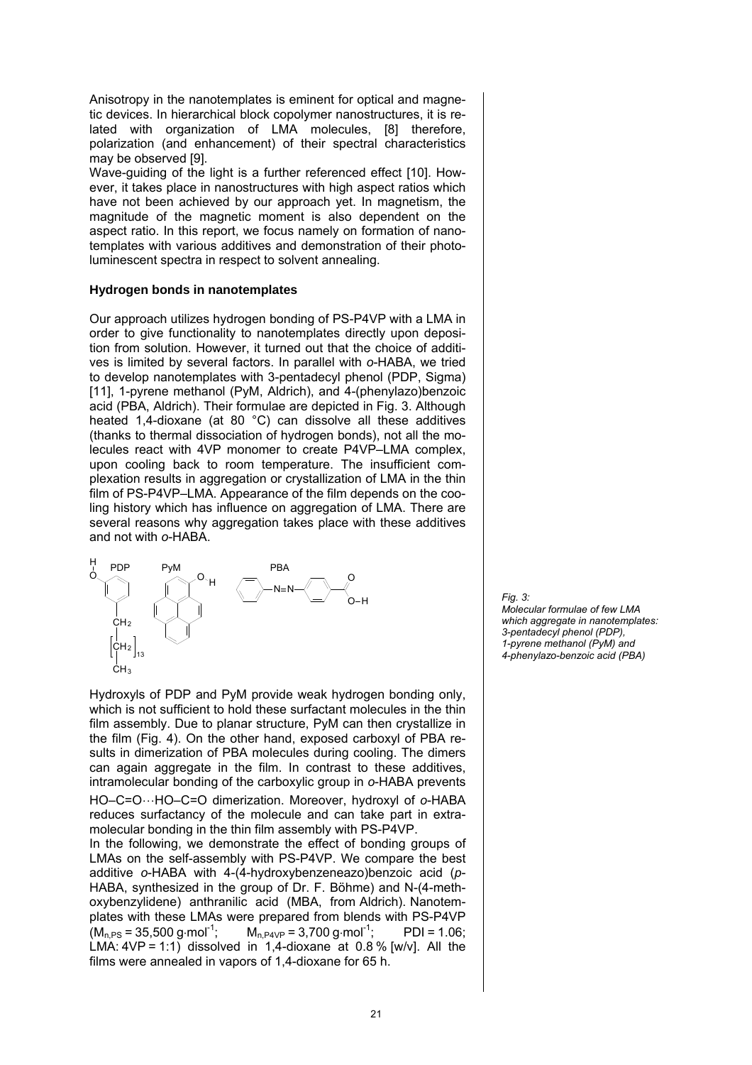Anisotropy in the nanotemplates is eminent for optical and magnetic devices. In hierarchical block copolymer nanostructures, it is related with organization of LMA molecules, [8] therefore, polarization (and enhancement) of their spectral characteristics may be observed [9].

Wave-guiding of the light is a further referenced effect [10]. However, it takes place in nanostructures with high aspect ratios which have not been achieved by our approach yet. In magnetism, the magnitude of the magnetic moment is also dependent on the aspect ratio. In this report, we focus namely on formation of nanotemplates with various additives and demonstration of their photoluminescent spectra in respect to solvent annealing.

# **Hydrogen bonds in nanotemplates**

Our approach utilizes hydrogen bonding of PS-P4VP with a LMA in order to give functionality to nanotemplates directly upon deposition from solution. However, it turned out that the choice of additives is limited by several factors. In parallel with *o*-HABA, we tried to develop nanotemplates with 3-pentadecyl phenol (PDP, Sigma) [11], 1-pyrene methanol (PyM, Aldrich), and 4-(phenylazo)benzoic acid (PBA, Aldrich). Their formulae are depicted in Fig. 3. Although heated 1,4-dioxane (at 80 °C) can dissolve all these additives (thanks to thermal dissociation of hydrogen bonds), not all the molecules react with 4VP monomer to create P4VP–LMA complex, upon cooling back to room temperature. The insufficient complexation results in aggregation or crystallization of LMA in the thin film of PS-P4VP–LMA. Appearance of the film depends on the cooling history which has influence on aggregation of LMA. There are several reasons why aggregation takes place with these additives and not with *o*-HABA.



Hydroxyls of PDP and PyM provide weak hydrogen bonding only, which is not sufficient to hold these surfactant molecules in the thin film assembly. Due to planar structure, PyM can then crystallize in the film (Fig. 4). On the other hand, exposed carboxyl of PBA results in dimerization of PBA molecules during cooling. The dimers can again aggregate in the film. In contrast to these additives, intramolecular bonding of the carboxylic group in *o*-HABA prevents HO–C=O…HO–C=O dimerization. Moreover, hydroxyl of *o*-HABA reduces surfactancy of the molecule and can take part in extramolecular bonding in the thin film assembly with PS-P4VP. In the following, we demonstrate the effect of bonding groups of LMAs on the self-assembly with PS-P4VP. We compare the best additive *o*-HABA with 4-(4-hydroxybenzeneazo)benzoic acid (*p*-HABA, synthesized in the group of Dr. F. Böhme) and N-(4-meth-

oxybenzylidene) anthranilic acid (MBA, from Aldrich). Nanotemplates with these LMAs were prepared from blends with PS-P4VP  $(M_{n,PS} = 35,500 \text{ g} \cdot \text{mol}^{-1}; \qquad M_{n,P4VP} = 3,700 \text{ g} \cdot \text{mol}^{-1}; \qquad PDI = 1.06;$ LMA:  $4VP = 1:1$ ) dissolved in 1,4-dioxane at 0.8% [w/v]. All the films were annealed in vapors of 1,4-dioxane for 65 h.

*Fig. 3: Molecular formulae of few LMA which aggregate in nanotemplates: 3-pentadecyl phenol (PDP), 1-pyrene methanol (PyM) and 4-phenylazo-benzoic acid (PBA)*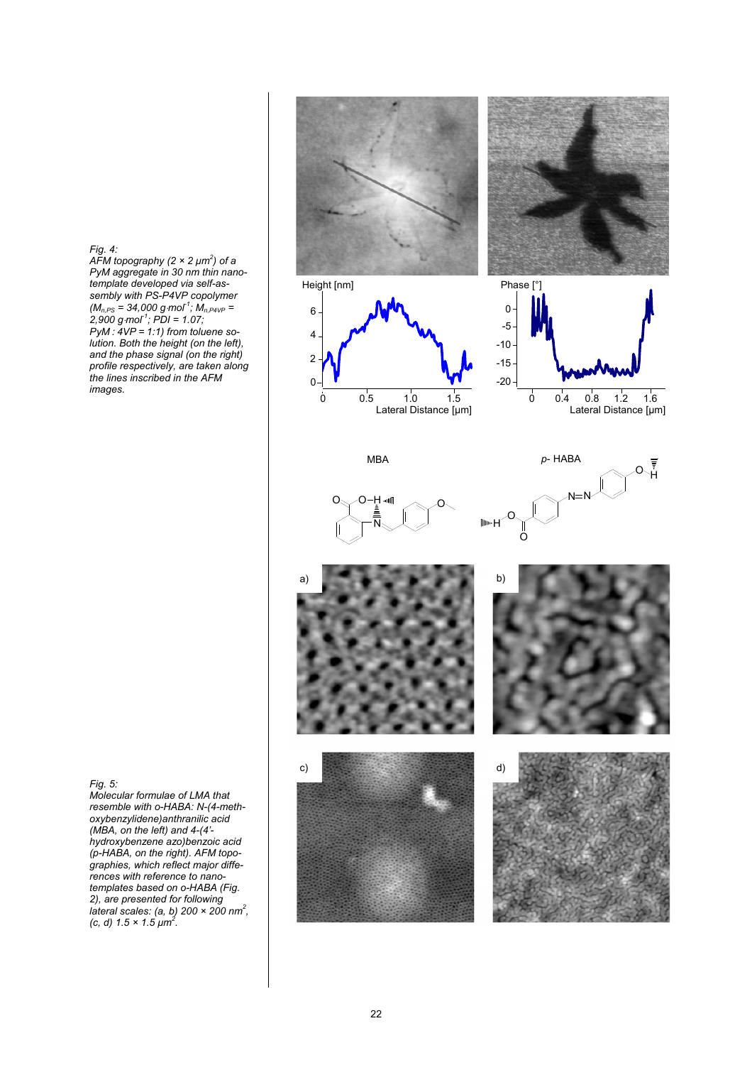*Fig. 4: AFM topography (2 × 2 μm2 ) of a PyM aggregate in 30 nm thin nanotemplate developed via self-assembly with PS-P4VP copolymer (Mn,PS = 34,000 g*⋅*mol-1; Mn,P4VP = 2,900 g*⋅*mol-1; PDI = 1.07; PyM: 4VP* = 1:1) from toluene so*lution. Both the height (on the left), and the phase signal (on the right) profile respectively, are taken along the lines inscribed in the AFM images.*



*Fig. 5:* 

*Molecular formulae of LMA that resemble with o-HABA: N-(4-methoxybenzylidene)anthranilic acid (MBA, on the left) and 4-(4' hydroxybenzene azo)benzoic acid (p-HABA, on the right). AFM topographies, which reflect major differences with reference to nanotemplates based on o-HABA (Fig. 2), are presented for following lateral scales: (a, b) 200 × 200 nm2 , (c, d) 1.5 × 1.5 μm2 .*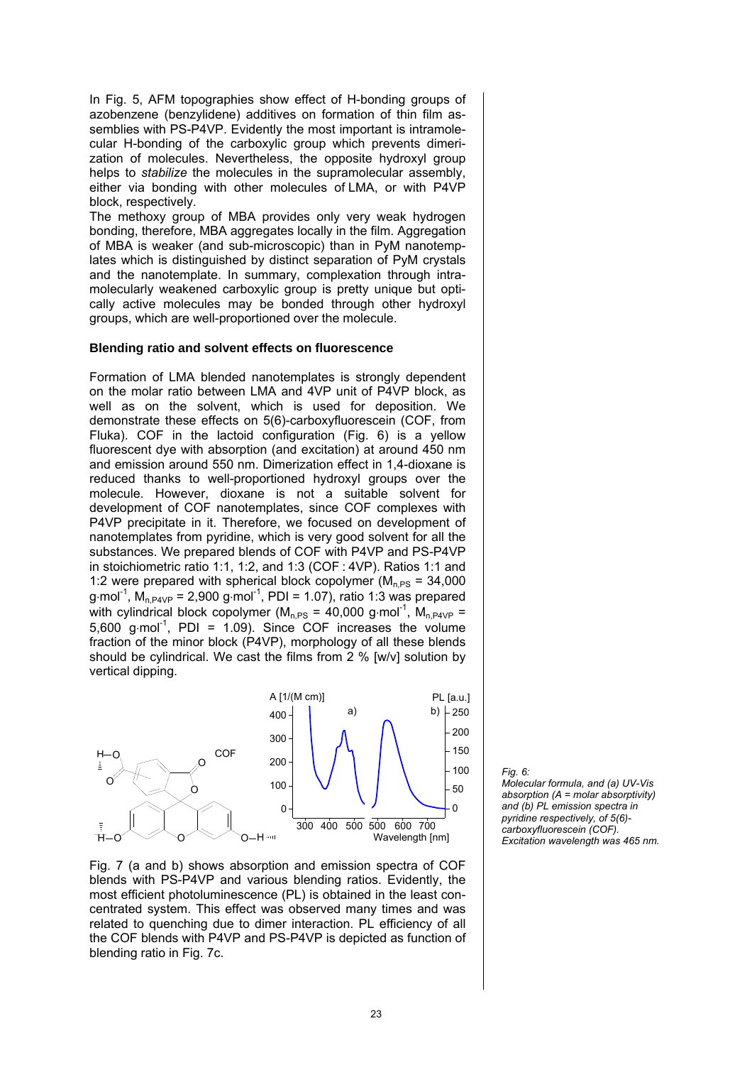In Fig. 5, AFM topographies show effect of H-bonding groups of azobenzene (benzylidene) additives on formation of thin film assemblies with PS-P4VP. Evidently the most important is intramolecular H-bonding of the carboxylic group which prevents dimerization of molecules. Nevertheless, the opposite hydroxyl group helps to *stabilize* the molecules in the supramolecular assembly, either via bonding with other molecules of LMA, or with P4VP block, respectively.

The methoxy group of MBA provides only very weak hydrogen bonding, therefore, MBA aggregates locally in the film. Aggregation of MBA is weaker (and sub-microscopic) than in PyM nanotemplates which is distinguished by distinct separation of PyM crystals and the nanotemplate. In summary, complexation through intramolecularly weakened carboxylic group is pretty unique but optically active molecules may be bonded through other hydroxyl groups, which are well-proportioned over the molecule.

## **Blending ratio and solvent effects on fluorescence**

Formation of LMA blended nanotemplates is strongly dependent on the molar ratio between LMA and 4VP unit of P4VP block, as well as on the solvent, which is used for deposition. We demonstrate these effects on 5(6)-carboxyfluorescein (COF, from Fluka). COF in the lactoid configuration (Fig. 6) is a yellow fluorescent dye with absorption (and excitation) at around 450 nm and emission around 550 nm. Dimerization effect in 1,4-dioxane is reduced thanks to well-proportioned hydroxyl groups over the molecule. However, dioxane is not a suitable solvent for development of COF nanotemplates, since COF complexes with P4VP precipitate in it. Therefore, we focused on development of nanotemplates from pyridine, which is very good solvent for all the substances. We prepared blends of COF with P4VP and PS-P4VP in stoichiometric ratio 1:1, 1:2, and 1:3 (COF: 4VP). Ratios 1:1 and 1:2 were prepared with spherical block copolymer ( $M<sub>n PS</sub> = 34,000$ ) g⋅mol<sup>-1</sup>, M<sub>n,P4VP</sub> = 2,900 g⋅mol<sup>-1</sup>, PDI = 1.07), ratio 1:3 was prepared with cylindrical block copolymer ( $M<sub>n,PS</sub> = 40,000$  g⋅mol<sup>-1</sup>,  $M<sub>n,P4VP</sub> =$ 5,600 g⋅mol<sup>-1</sup>, PDI = 1.09). Since COF increases the volume fraction of the minor block (P4VP), morphology of all these blends should be cylindrical. We cast the films from 2 % [w/v] solution by vertical dipping.



Fig. 7 (a and b) shows absorption and emission spectra of COF blends with PS-P4VP and various blending ratios. Evidently, the most efficient photoluminescence (PL) is obtained in the least concentrated system. This effect was observed many times and was related to quenching due to dimer interaction. PL efficiency of all the COF blends with P4VP and PS-P4VP is depicted as function of blending ratio in Fig. 7c.

*Fig. 6: Molecular formula, and (a) UV-Vis absorption (A = molar absorptivity) and (b) PL emission spectra in pyridine respectively, of 5(6) carboxyfluorescein (COF). Excitation wavelength was 465 nm.*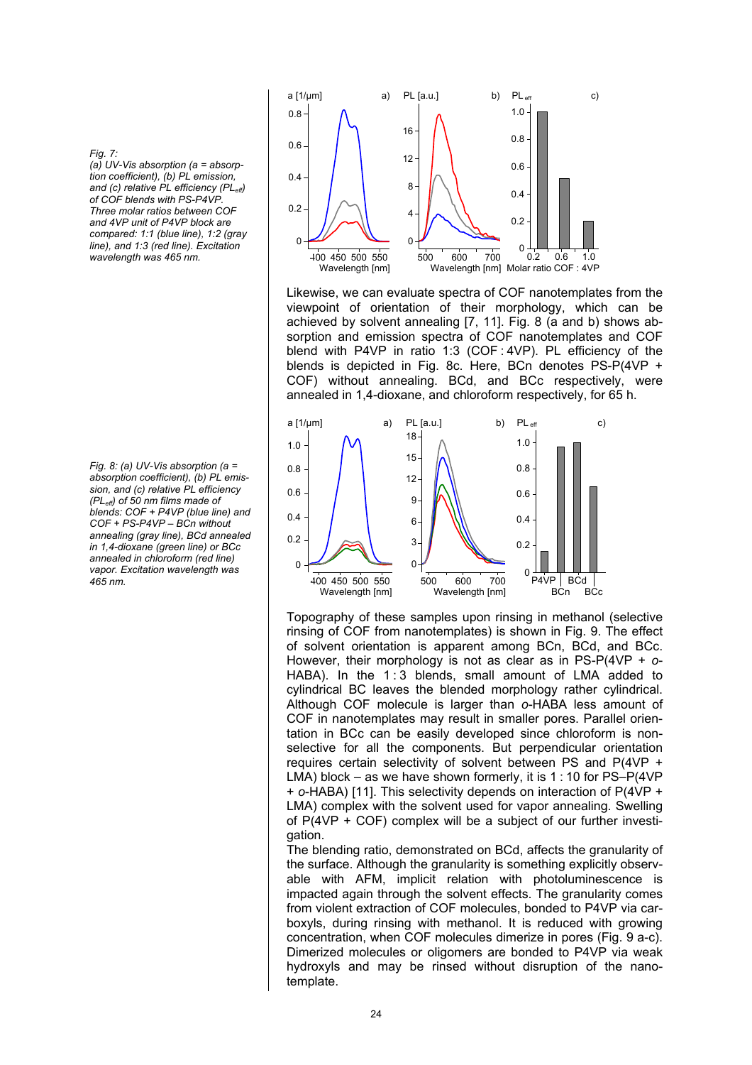#### *Fig. 7:*

*(a) UV-Vis absorption (a = absorption coefficient), (b) PL emission, and (c) relative PL efficiency (PLeff) of COF blends with PS-P4VP. Three molar ratios between COF and 4VP unit of P4VP block are compared: 1:1 (blue line), 1:2 (gray line), and 1:3 (red line). Excitation wavelength was 465 nm.*

*Fig. 8: (a) UV-Vis absorption (a = absorption coefficient), (b) PL emission, and (c) relative PL efficiency (PLeff) of 50 nm films made of blends: COF + P4VP (blue line) and COF + PS-P4VP – BCn without annealing (gray line), BCd annealed in 1,4-dioxane (green line) or BCc annealed in chloroform (red line) vapor. Excitation wavelength was 465 nm.* 



Likewise, we can evaluate spectra of COF nanotemplates from the viewpoint of orientation of their morphology, which can be achieved by solvent annealing [7, 11]. Fig. 8 (a and b) shows absorption and emission spectra of COF nanotemplates and COF blend with P4VP in ratio 1:3 (COF:  $4VP$ ). PL efficiency of the blends is depicted in Fig. 8c. Here, BCn denotes PS-P(4VP + COF) without annealing. BCd, and BCc respectively, were annealed in 1,4-dioxane, and chloroform respectively, for 65 h.



Topography of these samples upon rinsing in methanol (selective rinsing of COF from nanotemplates) is shown in Fig. 9. The effect of solvent orientation is apparent among BCn, BCd, and BCc. However, their morphology is not as clear as in PS-P(4VP + *o*-HABA). In the  $1:3$  blends, small amount of LMA added to cylindrical BC leaves the blended morphology rather cylindrical. Although COF molecule is larger than *o*-HABA less amount of COF in nanotemplates may result in smaller pores. Parallel orientation in BCc can be easily developed since chloroform is nonselective for all the components. But perpendicular orientation requires certain selectivity of solvent between PS and P(4VP + LMA) block – as we have shown formerly, it is 1:10 for PS–P(4VP) + *o*-HABA) [11]. This selectivity depends on interaction of P(4VP + LMA) complex with the solvent used for vapor annealing. Swelling of P(4VP + COF) complex will be a subject of our further investigation.

The blending ratio, demonstrated on BCd, affects the granularity of the surface. Although the granularity is something explicitly observable with AFM, implicit relation with photoluminescence is impacted again through the solvent effects. The granularity comes from violent extraction of COF molecules, bonded to P4VP via carboxyls, during rinsing with methanol. It is reduced with growing concentration, when COF molecules dimerize in pores (Fig. 9 a-c). Dimerized molecules or oligomers are bonded to P4VP via weak hydroxyls and may be rinsed without disruption of the nanotemplate.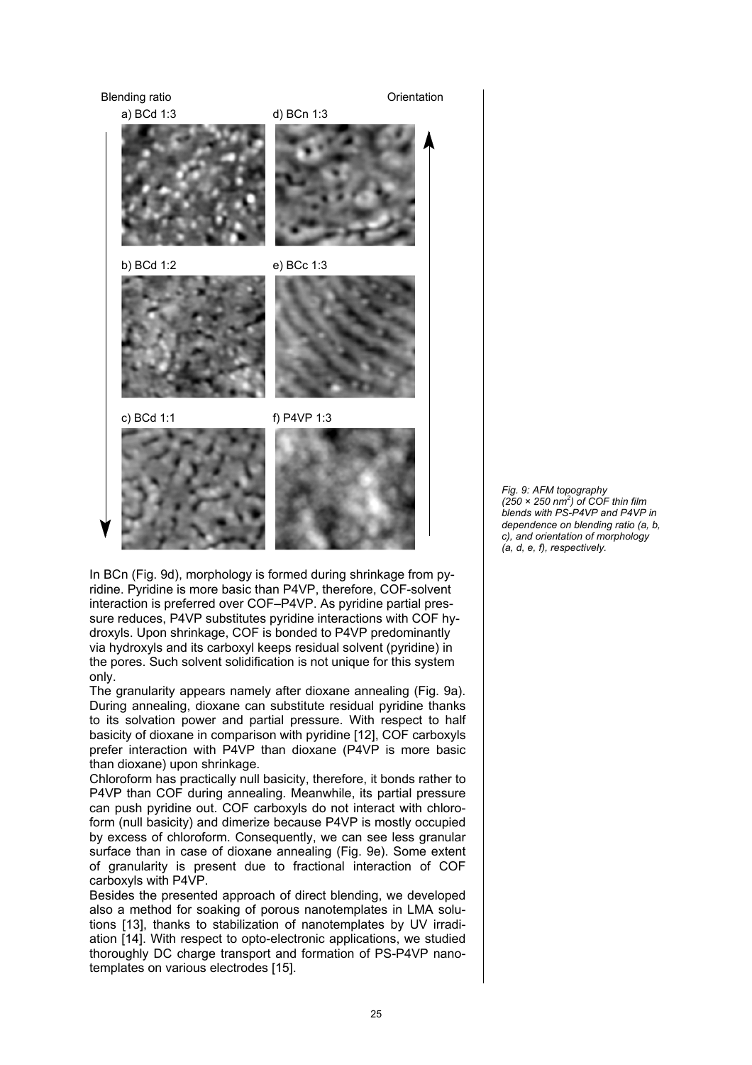

In BCn (Fig. 9d), morphology is formed during shrinkage from pyridine. Pyridine is more basic than P4VP, therefore, COF-solvent interaction is preferred over COF–P4VP. As pyridine partial pressure reduces, P4VP substitutes pyridine interactions with COF hydroxyls. Upon shrinkage, COF is bonded to P4VP predominantly via hydroxyls and its carboxyl keeps residual solvent (pyridine) in the pores. Such solvent solidification is not unique for this system only.

The granularity appears namely after dioxane annealing (Fig. 9a). During annealing, dioxane can substitute residual pyridine thanks to its solvation power and partial pressure. With respect to half basicity of dioxane in comparison with pyridine [12], COF carboxyls prefer interaction with P4VP than dioxane (P4VP is more basic than dioxane) upon shrinkage.

Chloroform has practically null basicity, therefore, it bonds rather to P4VP than COF during annealing. Meanwhile, its partial pressure can push pyridine out. COF carboxyls do not interact with chloroform (null basicity) and dimerize because P4VP is mostly occupied by excess of chloroform. Consequently, we can see less granular surface than in case of dioxane annealing (Fig. 9e). Some extent of granularity is present due to fractional interaction of COF carboxyls with P4VP.

Besides the presented approach of direct blending, we developed also a method for soaking of porous nanotemplates in LMA solutions [13], thanks to stabilization of nanotemplates by UV irradiation [14]. With respect to opto-electronic applications, we studied thoroughly DC charge transport and formation of PS-P4VP nanotemplates on various electrodes [15].

*Fig. 9: AFM topography (250 × 250 nm2 ) of COF thin film blends with PS-P4VP and P4VP in dependence on blending ratio (a, b, c), and orientation of morphology (a, d, e, f), respectively.*